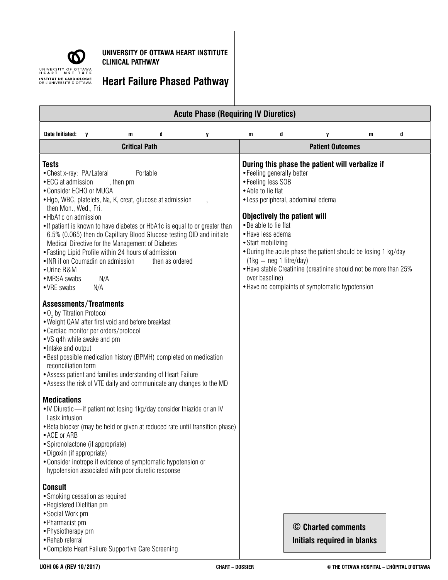

**UNIVERSITY OF OTTAWA HEART INSTITUTE CLINICAL PATHWAY** 

**Heart Failure Phased Pathway** 

|                                                                                                                                                                                                                                                                                                                                                                                                                                                                                                                                                                                                                                                             |   |   |                                                    |                                                                                                                                                          | <b>Acute Phase (Requiring IV Diuretics)</b>                |                                                                                                                                                                                                          |                                                                                                                                                                                                                                          |   |   |  |
|-------------------------------------------------------------------------------------------------------------------------------------------------------------------------------------------------------------------------------------------------------------------------------------------------------------------------------------------------------------------------------------------------------------------------------------------------------------------------------------------------------------------------------------------------------------------------------------------------------------------------------------------------------------|---|---|----------------------------------------------------|----------------------------------------------------------------------------------------------------------------------------------------------------------|------------------------------------------------------------|----------------------------------------------------------------------------------------------------------------------------------------------------------------------------------------------------------|------------------------------------------------------------------------------------------------------------------------------------------------------------------------------------------------------------------------------------------|---|---|--|
| Date Initiated:                                                                                                                                                                                                                                                                                                                                                                                                                                                                                                                                                                                                                                             | y | m | d                                                  | y                                                                                                                                                        | m                                                          | d                                                                                                                                                                                                        | y                                                                                                                                                                                                                                        | m | d |  |
| <b>Critical Path</b>                                                                                                                                                                                                                                                                                                                                                                                                                                                                                                                                                                                                                                        |   |   |                                                    |                                                                                                                                                          |                                                            | <b>Patient Outcomes</b>                                                                                                                                                                                  |                                                                                                                                                                                                                                          |   |   |  |
| <b>Tests</b><br>• Chest x-ray: PA/Lateral<br>Portable<br>• ECG at admission<br>, then prn<br>• Consider ECHO or MUGA<br>• Hgb, WBC, platelets, Na, K, creat, glucose at admission<br>then Mon., Wed., Fri.<br>• HbA1c on admission<br>. If patient is known to have diabetes or HbA1c is equal to or greater than<br>6.5% (0.065) then do Capillary Blood Glucose testing QID and initiate<br>Medical Directive for the Management of Diabetes<br>• Fasting Lipid Profile within 24 hours of admission<br>• INR if on Coumadin on admission<br>then as ordered<br>• Urine R&M<br>N/A<br>• MRSA swabs<br>• VRE swabs<br>N/A<br><b>Assessments/Treatments</b> |   |   |                                                    |                                                                                                                                                          | • Able to lie flat<br>• Start mobilizing<br>over baseline) | • Feeling generally better<br>• Feeling less SOB<br>· Less peripheral, abdominal edema<br><b>Objectively the patient will</b><br>• Be able to lie flat<br>· Have less edema<br>$(1kg = neg 1$ litre/day) | During this phase the patient will verbalize if<br>• During the acute phase the patient should be losing 1 kg/day<br>• Have stable Creatinine (creatinine should not be more than 25%<br>• Have no complaints of symptomatic hypotension |   |   |  |
| • O <sub>2</sub> by Titration Protocol<br>. Weight QAM after first void and before breakfast<br>• Cardiac monitor per orders/protocol<br>• VS q4h while awake and prn<br>• Intake and output<br>reconciliation form<br>• Assess patient and families understanding of Heart Failure                                                                                                                                                                                                                                                                                                                                                                         |   |   |                                                    | • Best possible medication history (BPMH) completed on medication<br>• Assess the risk of VTE daily and communicate any changes to the MD                |                                                            |                                                                                                                                                                                                          |                                                                                                                                                                                                                                          |   |   |  |
| <b>Medications</b><br>Lasix infusion<br>• ACE or ARB<br>• Spironolactone (if appropriate)<br>• Digoxin (if appropriate)<br>• Consider inotrope if evidence of symptomatic hypotension or                                                                                                                                                                                                                                                                                                                                                                                                                                                                    |   |   | hypotension associated with poor diuretic response | . IV Diuretic - if patient not losing 1kg/day consider thiazide or an IV<br>• Beta blocker (may be held or given at reduced rate until transition phase) |                                                            |                                                                                                                                                                                                          |                                                                                                                                                                                                                                          |   |   |  |
| <b>Consult</b><br>· Smoking cessation as required<br>• Registered Dietitian prn<br>• Social Work prn<br>· Pharmacist prn<br>• Physiotherapy prn<br>• Rehab referral<br>• Complete Heart Failure Supportive Care Screening                                                                                                                                                                                                                                                                                                                                                                                                                                   |   |   |                                                    |                                                                                                                                                          |                                                            |                                                                                                                                                                                                          | © Charted comments<br>Initials required in blanks                                                                                                                                                                                        |   |   |  |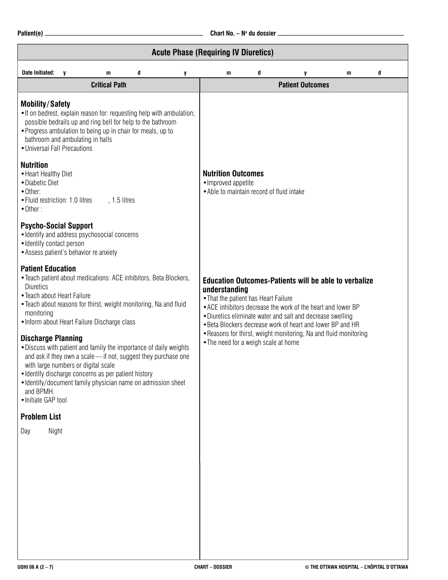|                                                                                                                                                                                                                                                                                                                                                                                                                                                                                                                                                                                                                                                          |                      |                                                                                        |                                                                                               |   | <b>Acute Phase (Requiring IV Diuretics)</b>                                                                                                                                                                                                                                                                                  |   |                         |   |   |  |
|----------------------------------------------------------------------------------------------------------------------------------------------------------------------------------------------------------------------------------------------------------------------------------------------------------------------------------------------------------------------------------------------------------------------------------------------------------------------------------------------------------------------------------------------------------------------------------------------------------------------------------------------------------|----------------------|----------------------------------------------------------------------------------------|-----------------------------------------------------------------------------------------------|---|------------------------------------------------------------------------------------------------------------------------------------------------------------------------------------------------------------------------------------------------------------------------------------------------------------------------------|---|-------------------------|---|---|--|
| <b>Date Initiated:</b>                                                                                                                                                                                                                                                                                                                                                                                                                                                                                                                                                                                                                                   | $\mathbf{v}$         | m                                                                                      | d                                                                                             | y | m                                                                                                                                                                                                                                                                                                                            | d | y                       | m | d |  |
|                                                                                                                                                                                                                                                                                                                                                                                                                                                                                                                                                                                                                                                          | <b>Critical Path</b> |                                                                                        |                                                                                               |   |                                                                                                                                                                                                                                                                                                                              |   | <b>Patient Outcomes</b> |   |   |  |
| <b>Mobility/Safety</b><br>. If on bedrest, explain reason for: requesting help with ambulation;<br>possible bedrails up and ring bell for help to the bathroom<br>• Progress ambulation to being up in chair for meals, up to<br>bathroom and ambulating in halls<br>• Universal Fall Precautions                                                                                                                                                                                                                                                                                                                                                        |                      |                                                                                        |                                                                                               |   |                                                                                                                                                                                                                                                                                                                              |   |                         |   |   |  |
| <b>Nutrition</b><br>• Heart Healthy Diet<br>• Diabetic Diet<br>• Other:<br>• Fluid restriction: 1.0 litres<br>$, 1.5$ litres<br>$\bullet$ Other:                                                                                                                                                                                                                                                                                                                                                                                                                                                                                                         |                      |                                                                                        |                                                                                               |   | <b>Nutrition Outcomes</b><br>· Improved appetite<br>• Able to maintain record of fluid intake                                                                                                                                                                                                                                |   |                         |   |   |  |
| <b>Psycho-Social Support</b><br>· Identify contact person                                                                                                                                                                                                                                                                                                                                                                                                                                                                                                                                                                                                |                      | · Identify and address psychosocial concerns<br>• Assess patient's behavior re anxiety |                                                                                               |   |                                                                                                                                                                                                                                                                                                                              |   |                         |   |   |  |
| <b>Patient Education</b><br>• Teach patient about medications: ACE inhibitors, Beta Blockers,<br><b>Diuretics</b><br>• Teach about Heart Failure<br>. Teach about reasons for thirst, weight monitoring, Na and fluid<br>monitoring<br>• Inform about Heart Failure Discharge class<br><b>Discharge Planning</b><br>. Discuss with patient and family the importance of daily weights<br>and ask if they own a scale-if not, suggest they purchase one<br>with large numbers or digital scale<br>· Identify discharge concerns as per patient history<br>• Identify/document family physician name on admission sheet<br>and BPMH<br>• Initiate GAP tool |                      |                                                                                        | understanding<br>• That the patient has Heart Failure<br>• The need for a weigh scale at home |   | <b>Education Outcomes-Patients will be able to verbalize</b><br>• ACE inhibitors decrease the work of the heart and lower BP<br>• Diuretics eliminate water and salt and decrease swelling<br>. Beta Blockers decrease work of heart and lower BP and HR<br>• Reasons for thirst, weight monitoring, Na and fluid monitoring |   |                         |   |   |  |
| <b>Problem List</b>                                                                                                                                                                                                                                                                                                                                                                                                                                                                                                                                                                                                                                      |                      |                                                                                        |                                                                                               |   |                                                                                                                                                                                                                                                                                                                              |   |                         |   |   |  |
| Night<br>Day                                                                                                                                                                                                                                                                                                                                                                                                                                                                                                                                                                                                                                             |                      |                                                                                        |                                                                                               |   |                                                                                                                                                                                                                                                                                                                              |   |                         |   |   |  |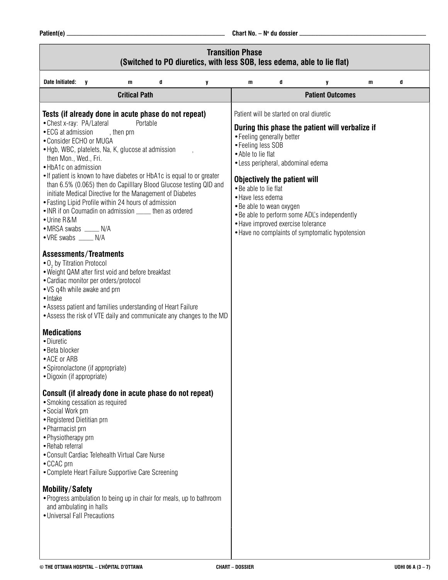**Patient(e)** \_\_\_\_\_\_\_\_\_\_\_\_\_\_\_\_\_\_\_\_\_\_\_\_\_\_\_\_\_\_\_\_\_\_\_\_\_\_\_\_\_\_\_\_\_\_\_\_\_\_ **Chart No. – No du dossier** \_\_\_\_\_\_\_\_\_\_\_\_\_\_\_\_\_\_\_\_\_\_\_\_\_\_\_\_\_\_\_\_\_\_\_\_\_\_\_\_

| (Switched to PO diuretics, with less SOB, less edema, able to lie flat)                                                                                                                                                                                                                                                                                                                                                                                                                                                                                                                                                                                                                                                                                                                                                                                                                                                                                                                                                                                                                                                                                                                                                                                                                                                                                                                                                                                                                                                                                                                                              | <b>Transition Phase</b>                                                                |                                                                                                                                                                    |                                                                                                                                                                                                 |   |   |
|----------------------------------------------------------------------------------------------------------------------------------------------------------------------------------------------------------------------------------------------------------------------------------------------------------------------------------------------------------------------------------------------------------------------------------------------------------------------------------------------------------------------------------------------------------------------------------------------------------------------------------------------------------------------------------------------------------------------------------------------------------------------------------------------------------------------------------------------------------------------------------------------------------------------------------------------------------------------------------------------------------------------------------------------------------------------------------------------------------------------------------------------------------------------------------------------------------------------------------------------------------------------------------------------------------------------------------------------------------------------------------------------------------------------------------------------------------------------------------------------------------------------------------------------------------------------------------------------------------------------|----------------------------------------------------------------------------------------|--------------------------------------------------------------------------------------------------------------------------------------------------------------------|-------------------------------------------------------------------------------------------------------------------------------------------------------------------------------------------------|---|---|
| Date Initiated:<br>d<br>m<br>$\mathbf v$<br>y                                                                                                                                                                                                                                                                                                                                                                                                                                                                                                                                                                                                                                                                                                                                                                                                                                                                                                                                                                                                                                                                                                                                                                                                                                                                                                                                                                                                                                                                                                                                                                        | m                                                                                      | d                                                                                                                                                                  | y                                                                                                                                                                                               | m | d |
| <b>Critical Path</b>                                                                                                                                                                                                                                                                                                                                                                                                                                                                                                                                                                                                                                                                                                                                                                                                                                                                                                                                                                                                                                                                                                                                                                                                                                                                                                                                                                                                                                                                                                                                                                                                 |                                                                                        |                                                                                                                                                                    | <b>Patient Outcomes</b>                                                                                                                                                                         |   |   |
| Tests (if already done in acute phase do not repeat)<br>• Chest x-ray: PA/Lateral<br>Portable<br>• ECG at admission<br>, then prn<br>• Consider ECHO or MUGA<br>• Hgb, WBC, platelets, Na, K, glucose at admission<br>then Mon., Wed., Fri.<br>• HbA1c on admission<br>• If patient is known to have diabetes or HbA1c is equal to or greater<br>than 6.5% (0.065) then do Capilllary Blood Glucose testing QID and<br>initiate Medical Directive for the Management of Diabetes<br>• Fasting Lipid Profile within 24 hours of admission<br>• INR if on Coumadin on admission _____ then as ordered<br>• Urine R&M<br>• MRSA swabs _____ N/A<br>• VRE swabs _____ N/A<br><b>Assessments/Treatments</b><br>• O <sub>2</sub> by Titration Protocol<br>. Weight QAM after first void and before breakfast<br>• Cardiac monitor per orders/protocol<br>• VS q4h while awake and prn<br>• Intake<br>• Assess patient and families understanding of Heart Failure<br>• Assess the risk of VTE daily and communicate any changes to the MD<br><b>Medications</b><br>• Diuretic<br>• Beta blocker<br>• ACE or ARB<br>• Spironolactone (if appropriate)<br>• Digoxin (if appropriate)<br>Consult (if already done in acute phase do not repeat)<br>• Smoking cessation as required<br>• Social Work prn<br>• Registered Dietitian prn<br>• Pharmacist prn<br>• Physiotherapy prn<br>• Rehab referral<br>• Consult Cardiac Telehealth Virtual Care Nurse<br>• CCAC prn<br>• Complete Heart Failure Supportive Care Screening<br><b>Mobility/Safety</b><br>• Progress ambulation to being up in chair for meals, up to bathroom | • Feeling less SOB<br>• Able to lie flat<br>• Be able to lie flat<br>• Have less edema | • Feeling generally better<br>• Less peripheral, abdominal edema<br>Objectively the patient will<br>• Be able to wean oxygen<br>• Have improved exercise tolerance | Patient will be started on oral diuretic<br>During this phase the patient will verbalize if<br>. Be able to perform some ADL's independently<br>• Have no complaints of symptomatic hypotension |   |   |
| and ambulating in halls<br>• Universal Fall Precautions                                                                                                                                                                                                                                                                                                                                                                                                                                                                                                                                                                                                                                                                                                                                                                                                                                                                                                                                                                                                                                                                                                                                                                                                                                                                                                                                                                                                                                                                                                                                                              |                                                                                        |                                                                                                                                                                    |                                                                                                                                                                                                 |   |   |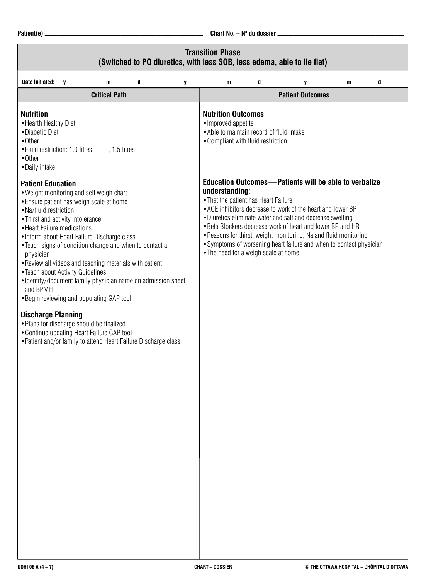|                                                                                                                                                                                                                                                                                                                                                                                                                                                                                                                                                                                              |                      |   |   | <b>Transition Phase</b><br>(Switched to PO diuretics, with less SOB, less edema, able to lie flat)                                  |   |                                                                                                                                                                                                                                                                                                                                                                                                    |              |   |  |
|----------------------------------------------------------------------------------------------------------------------------------------------------------------------------------------------------------------------------------------------------------------------------------------------------------------------------------------------------------------------------------------------------------------------------------------------------------------------------------------------------------------------------------------------------------------------------------------------|----------------------|---|---|-------------------------------------------------------------------------------------------------------------------------------------|---|----------------------------------------------------------------------------------------------------------------------------------------------------------------------------------------------------------------------------------------------------------------------------------------------------------------------------------------------------------------------------------------------------|--------------|---|--|
| <b>Date Initiated:</b><br>$\mathbf{V}$                                                                                                                                                                                                                                                                                                                                                                                                                                                                                                                                                       | m                    | d | y | $\mathbf{m}$                                                                                                                        | d | y                                                                                                                                                                                                                                                                                                                                                                                                  | $\mathbf{m}$ | d |  |
|                                                                                                                                                                                                                                                                                                                                                                                                                                                                                                                                                                                              | <b>Critical Path</b> |   |   |                                                                                                                                     |   | <b>Patient Outcomes</b>                                                                                                                                                                                                                                                                                                                                                                            |              |   |  |
| <b>Nutrition</b><br>• Hearth Healthy Diet<br>• Diabetic Diet<br>• Other:<br>• Fluid restriction: 1.0 litres<br>$\bullet$ Other<br>• Daily intake                                                                                                                                                                                                                                                                                                                                                                                                                                             | , 1.5 litres         |   |   | <b>Nutrition Outcomes</b><br>· Improved appetite<br>• Able to maintain record of fluid intake<br>• Compliant with fluid restriction |   |                                                                                                                                                                                                                                                                                                                                                                                                    |              |   |  |
| <b>Patient Education</b><br>. Weight monitoring and self weigh chart<br>• Ensure patient has weigh scale at home<br>• Na/fluid restriction<br>• Thirst and activity intolerance<br>• Heart Failure medications<br>• Inform about Heart Failure Discharge class<br>• Teach signs of condition change and when to contact a<br>physician<br>. Review all videos and teaching materials with patient<br>• Teach about Activity Guidelines<br>• Identify/document family physician name on admission sheet<br>and BPMH<br>• Begin reviewing and populating GAP tool<br><b>Discharge Planning</b> |                      |   |   | understanding:<br>• That the patient has Heart Failure<br>• The need for a weigh scale at home                                      |   | <b>Education Outcomes-Patients will be able to verbalize</b><br>• ACE inhibitors decrease to work of the heart and lower BP<br>• Diuretics eliminate water and salt and decrease swelling<br>• Beta Blockers decrease work of heart and lower BP and HR<br>. Reasons for thirst, weight monitoring, Na and fluid monitoring<br>• Symptoms of worsening heart failure and when to contact physician |              |   |  |
| • Plans for discharge should be finalized<br>• Continue updating Heart Failure GAP tool<br>• Patient and/or family to attend Heart Failure Discharge class                                                                                                                                                                                                                                                                                                                                                                                                                                   |                      |   |   |                                                                                                                                     |   |                                                                                                                                                                                                                                                                                                                                                                                                    |              |   |  |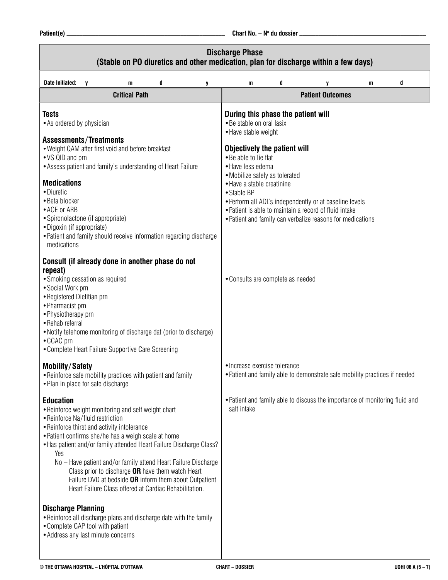|                                                                                                                                                                                                                                                                                                                                                                                                                                                                                                                                                                                                                                                                                                                         | <b>Discharge Phase</b><br>(Stable on PO diuretics and other medication, plan for discharge within a few days)                                                                                                                                                                                                                                                                                                                                  |   |  |  |  |
|-------------------------------------------------------------------------------------------------------------------------------------------------------------------------------------------------------------------------------------------------------------------------------------------------------------------------------------------------------------------------------------------------------------------------------------------------------------------------------------------------------------------------------------------------------------------------------------------------------------------------------------------------------------------------------------------------------------------------|------------------------------------------------------------------------------------------------------------------------------------------------------------------------------------------------------------------------------------------------------------------------------------------------------------------------------------------------------------------------------------------------------------------------------------------------|---|--|--|--|
| <b>Date Initiated:</b><br>d<br>V<br>m<br>y                                                                                                                                                                                                                                                                                                                                                                                                                                                                                                                                                                                                                                                                              | d<br>$\mathbf{m}$<br>y<br>m                                                                                                                                                                                                                                                                                                                                                                                                                    | d |  |  |  |
| <b>Critical Path</b>                                                                                                                                                                                                                                                                                                                                                                                                                                                                                                                                                                                                                                                                                                    | <b>Patient Outcomes</b>                                                                                                                                                                                                                                                                                                                                                                                                                        |   |  |  |  |
| <b>Tests</b><br>• As ordered by physician<br><b>Assessments/Treatments</b><br>. Weight QAM after first void and before breakfast<br>• VS QID and prn<br>• Assess patient and family's understanding of Heart Failure<br><b>Medications</b><br>• Diuretic<br>• Beta blocker<br>• ACE or ARB<br>• Spironolactone (if appropriate)<br>· Digoxin (if appropriate)<br>• Patient and family should receive information regarding discharge<br>medications                                                                                                                                                                                                                                                                     | During this phase the patient will<br>• Be stable on oral lasix<br>• Have stable weight<br><b>Objectively the patient will</b><br>• Be able to lie flat<br>• Have less edema<br>• Mobilize safely as tolerated<br>• Have a stable creatinine<br>• Stable BP<br>. Perform all ADL's independently or at baseline levels<br>• Patient is able to maintain a record of fluid intake<br>• Patient and family can verbalize reasons for medications |   |  |  |  |
| Consult (if already done in another phase do not<br>repeat)<br>• Smoking cessation as required<br>• Social Work prn<br>• Registered Dietitian prn<br>• Pharmacist prn<br>• Physiotherapy prn<br>• Rehab referral<br>. Notify telehome monitoring of discharge dat (prior to discharge)<br>• CCAC prn<br>• Complete Heart Failure Supportive Care Screening                                                                                                                                                                                                                                                                                                                                                              | • Consults are complete as needed                                                                                                                                                                                                                                                                                                                                                                                                              |   |  |  |  |
| <b>Mobility/Safety</b><br>• Reinforce safe mobility practices with patient and family<br>• Plan in place for safe discharge                                                                                                                                                                                                                                                                                                                                                                                                                                                                                                                                                                                             | • Increase exercise tolerance<br>. Patient and family able to demonstrate safe mobility practices if needed                                                                                                                                                                                                                                                                                                                                    |   |  |  |  |
| <b>Education</b><br>• Reinforce weight monitoring and self weight chart<br>• Reinforce Na/fluid restriction<br>• Reinforce thirst and activity intolerance<br>• Patient confirms she/he has a weigh scale at home<br>• Has patient and/or family attended Heart Failure Discharge Class?<br>Yes<br>No - Have patient and/or family attend Heart Failure Discharge<br>Class prior to discharge OR have them watch Heart<br>Failure DVD at bedside OR inform them about Outpatient<br>Heart Failure Class offered at Cardiac Rehabilitation.<br><b>Discharge Planning</b><br>• Reinforce all discharge plans and discharge date with the family<br>• Complete GAP tool with patient<br>• Address any last minute concerns | • Patient and family able to discuss the importance of monitoring fluid and<br>salt intake                                                                                                                                                                                                                                                                                                                                                     |   |  |  |  |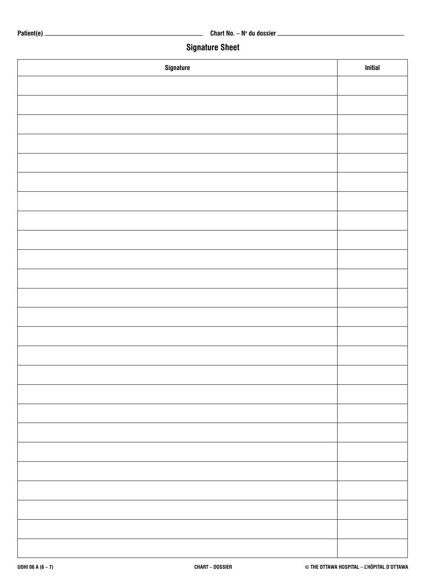## **Signature Sheet**

| Signature | <b>Initial</b> |
|-----------|----------------|
|           |                |
|           |                |
|           |                |
|           |                |
|           |                |
|           |                |
|           |                |
|           |                |
|           |                |
|           |                |
|           |                |
|           |                |
|           |                |
|           |                |
|           |                |
|           |                |
|           |                |
|           |                |
|           |                |
|           |                |
|           |                |
|           |                |
|           |                |
|           |                |
|           |                |